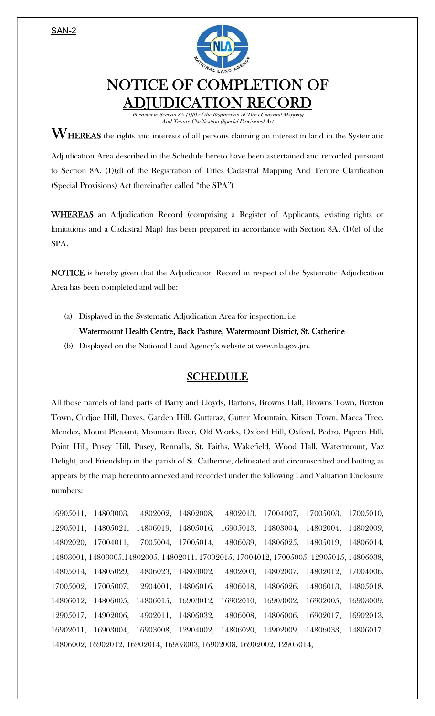SAN-2



## NOTICE OF COMPLETION OF ADJUDICATION RECORD

Pursuant to Section 8A (1)(f) of the Registration of Titles Cadastral Mapping And Tenure Clarification (Special Provisions) Act

 $\mathbf{W}_{\text{HEREAS}}$  the rights and interests of all persons claiming an interest in land in the Systematic

Adjudication Area described in the Schedule hereto have been ascertained and recorded pursuant to Section 8A. (1)(d) of the Registration of Titles Cadastral Mapping And Tenure Clarification (Special Provisions) Act (hereinafter called "the SPA")

WHEREAS an Adjudication Record (comprising a Register of Applicants, existing rights or limitations and a Cadastral Map) has been prepared in accordance with Section 8A. (1)(e) of the SPA.

NOTICE is hereby given that the Adjudication Record in respect of the Systematic Adjudication Area has been completed and will be:

(a) Displayed in the Systematic Adjudication Area for inspection, i.e:

## Watermount Health Centre, Back Pasture, Watermount District, St. Catherine

(b) Displayed on the National Land Agency's website at www.nla.gov.jm.

## SCHEDULE

All those parcels of land parts of Barry and Lloyds, Bartons, Browns Hall, Browns Town, Buxton Town, Cudjoe Hill, Duxes, Garden Hill, Guttaraz, Gutter Mountain, Kitson Town, Macca Tree, Mendez, Mount Pleasant, Mountain River, Old Works, Oxford Hill, Oxford, Pedro, Pigeon Hill, Point Hill, Pusey Hill, Pusey, Rennalls, St. Faiths, Wakefield, Wood Hall, Watermount, Vaz Delight, and Friendship in the parish of St. Catherine, delineated and circumscribed and butting as appears by the map hereunto annexed and recorded under the following Land Valuation Enclosure numbers:

16905011, 14803003, 14802002, 14802008, 14802013, 17004007, 17005003, 17005010, 12905011, 14805021, 14806019, 14805016, 16905013, 14803004, 14802004, 14802009, 14802020, 17004011, 17005004, 17005014, 14806039, 14806025, 14805019, 14806014, 14803001, 14803005,14802005, 14802011, 17002015, 17004012, 17005005, 12905015, 14806038, 14805014, 14805029, 14806023, 14803002, 14802003, 14802007, 14802012, 17004006, 17005002, 17005007, 12904001, 14806016, 14806018, 14806026, 14806013, 14805018, 14806012, 14806005, 14806015, 16903012, 16902010, 16903002, 16902005, 16903009, 12905017, 14902006, 14902011, 14806032, 14806008, 14806006, 16902017, 16902013, 16902011, 16903004, 16903008, 12904002, 14806020, 14902009, 14806033, 14806017, 14806002, 16902012, 16902014, 16903003, 16902008, 16902002, 12905014,